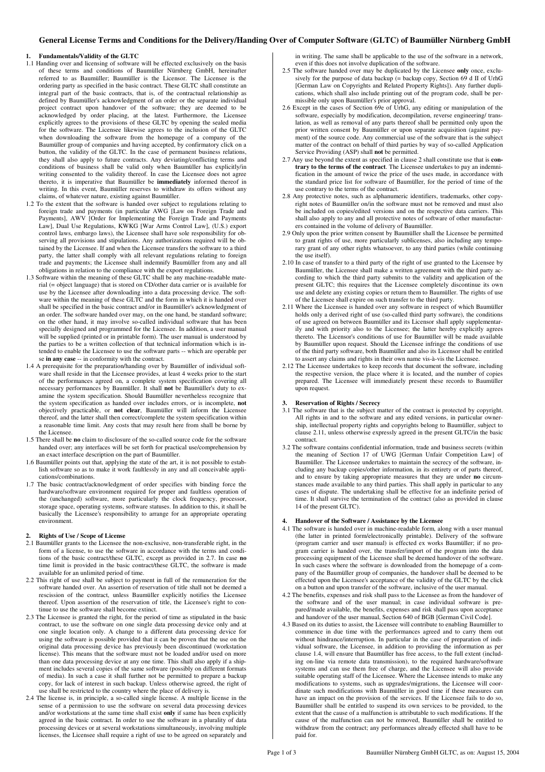# **General License Terms and Conditions for the Delivery/Handing Over of Computer Software (GLTC) of Baumüller Nürnberg GmbH**

#### **1. Fundamentals/Validity of the GLTC**

- 1.1 Handing over and licensing of software will be effected exclusively on the basis of these terms and conditions of Baumüller Nürnberg GmbH, hereinafter referred to as Baumüller; Baumüller is the Licensor. The Licensee is the ordering party as specified in the basic contract. These GLTC shall constitute an integral part of the basic contracts, that is, of the contractual relationship as defined by Baumüller's acknowledgment of an order or the separate individual project contract upon handover of the software; they are deemed to be acknowledged by order placing, at the latest. Furthermore, the Licensee explicitly agrees to the provisions of these GLTC by opening the sealed media for the software. The Licensee likewise agrees to the inclusion of the GLTC when downloading the software from the homepage of a company of the Baumüller group of companies and having accepted, by confirmatory click on a button, the validity of the GLTC. In the case of permanent business relations, they shall also apply to future contracts. Any deviating/conflicting terms and conditions of business shall be valid only when Baumüller has explicitly/in writing consented to the validity thereof. In case the Licensee does not agree thereto, it is imperative that Baumüller be **immediately** informed thereof in writing. In this event, Baumüller reserves to withdraw its offers without any claims, of whatever nature, existing against Baumüller.
- 1.2 To the extent that the software is handed over subject to regulations relating to foreign trade and payments (in particular AWG [Law on Foreign Trade and Payments], AWV [Order for Implementing the Foreign Trade and Payments Law], Dual Use Regulations, KWKG [War Arms Control Law], (U.S.) export control laws, embargo laws), the Licensee shall have sole responsibility for observing all provisions and stipulations. Any authorizations required will be obtained by the Licensee. If and when the Licensee transfers the software to a third party, the latter shall comply with all relevant regulations relating to foreign trade and payments; the Licensee shall indemnify Baumüller from any and all obligations in relation to the compliance with the export regulations.
- 1.3 Software within the meaning of these GLTC shall be any machine-readable material (= object language) that is stored on CD/other data carrier or is available for use by the Licensee after downloading into a data processing device. The software within the meaning of these GLTC and the form in which it is handed over shall be specified in the basic contract and/or in Baumüller's acknowledgment of an order. The software handed over may, on the one hand, be standard software; on the other hand, it may involve so-called individual software that has been specially designed and programmed for the Licensee. In addition, a user manual will be supplied (printed or in printable form). The user manual is understood by the parties to be a written collection of that technical information which is intended to enable the Licensee to use the software parts -- which are operable per se **in any case** -- in conformity with the contract.
- 1.4 A prerequisite for the preparation/handing over by Baumüller of individual software shall reside in that the Licensee provides, at least 4 weeks prior to the start of the performances agreed on, a complete system specification covering all necessary performances by Baumüller. It shall **not** be Baumüller's duty to examine the system specification. Should Baumüller nevertheless recognize that the system specification as handed over includes errors, or is incomplete, **not** objectively practicable, or **not clear**, Baumüller will inform the Licensee thereof, and the latter shall then correct/complete the system specification within a reasonable time limit. Any costs that may result here from shall be borne by the Licensee.
- 1.5 There shall be **no** claim to disclosure of the so-called source code for the software handed over; any interfaces will be set forth for practical use/comprehension by an exact interface description on the part of Baumüller.
- 1.6 Baumüller points out that, applying the state of the art, it is not possible to establish software so as to make it work faultlessly in any and all conceivable applications/combinations.
- 1.7 The basic contract/acknowledgment of order specifies with binding force the hardware/software environment required for proper and faultless operation of the (unchanged) software, more particularly the clock frequency, processor, storage space, operating systems, software statuses. In addition to this, it shall be basically the Licensee's responsibility to arrange for an appropriate operating environment.

#### **2. Rights of Use / Scope of License**

- 2.1 Baumüller grants to the Licensee the non-exclusive, non-transferable right, in the form of a license, to use the software in accordance with the terms and conditions of the basic contract/these GLTC, except as provided in 2.7. In case **no**  time limit is provided in the basic contract/these GLTC, the software is made available for an unlimited period of time.
- 2.2 This right of use shall be subject to payment in full of the remuneration for the software handed over. An assertion of reservation of title shall not be deemed a rescission of the contract, unless Baumüller explicitly notifies the Licensee thereof. Upon assertion of the reservation of title, the Licensee's right to continue to use the software shall become extinct.
- 2.3 The Licensee is granted the right, for the period of time as stipulated in the basic contract, to use the software on one single data processing device only and at one single location only. A change to a different data processing device for using the software is possible provided that it can be proven that the use on the original data processing device has previously been discontinued (workstation license). This means that the software must not be loaded and/or used on more than one data processing device at any one time. This shall also apply if a shipment includes several copies of the same software (possibly on different formats of media). In such a case it shall further not be permitted to prepare a backup copy, for lack of interest in such backup. Unless otherwise agreed, the right of use shall be restricted to the country where the place of delivery is.
- 2.4 The license is, in principle, a so-called single license. A multiple license in the sense of a permission to use the software on several data processing devices and/or workstations at the same time shall exist **only** if same has been explicitly agreed in the basic contract. In order to use the software in a plurality of data processing devices or at several workstations simultaneously, involving multiple licenses, the Licensee shall require a right of use to be agreed on separately and

in writing. The same shall be applicable to the use of the software in a network, even if this does not involve duplication of the software.

- 2.5 The software handed over may be duplicated by the Licensee **only** once, exclusively for the purpose of data backup (= backup copy, Section 69 d II of UrhG [German Law on Copyrights and Related Property Rights]). Any further duplications, which shall also include printing out of the program code, shall be permissible only upon Baumüller's prior approval.
- 2.6 Except in the cases of Section 69e of UrhG, any editing or manipulation of the software, especially by modification, decompilation, reverse engineering/ translation, as well as removal of any parts thereof shall be permitted only upon the prior written consent by Baumüller or upon separate acquisition (against payment) of the source code. Any commercial use of the software that is the subject matter of the contract on behalf of third parties by way of so-called Application Service Providing (ASP) shall **not** be permitted.
- 2.7 Any use beyond the extent as specified in clause 2 shall constitute use that is **contrary to the terms of the contract**. The Licensee undertakes to pay an indemnification in the amount of twice the price of the uses made, in accordance with the standard price list for software of Baumüller, for the period of time of the use contrary to the terms of the contract.
- 2.8 Any protective notes, such as alphanumeric identifiers, trademarks, other copyright notes of Baumüller on/in the software must not be removed and must also be included on copies/edited versions and on the respective data carriers. This shall also apply to any and all protective notes of software of other manufacturers contained in the volume of delivery of Baumüller.
- 2.9 Only upon the prior written consent by Baumüller shall the Licensee be permitted to grant rights of use, more particularly sublicenses, also including any temporary grant of any other rights whatsoever, to any third parties (while continuing the use itself).
- 2.10 In case of transfer to a third party of the right of use granted to the Licensee by Baumüller, the Licensee shall make a written agreement with the third party according to which the third party submits to the validity and application of the present GLTC; this requires that the Licensee completely discontinue its own use and delete any existing copies or return them to Baumüller. The rights of use of the Licensee shall expire on such transfer to the third party.
- 2.11 Where the Licensee is handed over any software in respect of which Baumüller holds only a derived right of use (so-called third party software), the conditions of use agreed on between Baumüller and its Licensor shall apply supplementarily and with priority also to the Licensee; the latter hereby explicitly agrees thereto. The Licensor's conditions of use for Baumüller will be made available by Baumüller upon request. Should the Licensee infringe the conditions of use of the third party software, both Baumüller and also its Licensor shall be entitled to assert any claims and rights in their own name vis-à-vis the Licensee.
- 2.12 The Licensee undertakes to keep records that document the software, including the respective version, the place where it is located, and the number of copies prepared. The Licensee will immediately present these records to Baumüller upon request.

#### **3. Reservation of Rights / Secrecy**

- 3.1 The software that is the subject matter of the contract is protected by copyright. All rights in and to the software and any edited versions, in particular ownership, intellectual property rights and copyrights belong to Baumüller, subject to clause 2.11, unless otherwise expressly agreed in the present GLTC/in the basic contract.
- 3.2 The software contains confidential information, trade and business secrets (within the meaning of Section 17 of UWG [German Unfair Competition Law] of Baumüller. The Licensee undertakes to maintain the secrecy of the software, including any backup copies/other information, in its entirety or of parts thereof, and to ensure by taking appropriate measures that they are under **no** circumstances made available to any third parties. This shall apply in particular to any cases of dispute. The undertaking shall be effective for an indefinite period of time. It shall survive the termination of the contract (also as provided in clause 14 of the present GLTC).

### **4. Handover of the Software / Assistance by the Licensee**

- 4.1 The software is handed over in machine-readable form, along with a user manual (the latter in printed form/electronically printable). Delivery of the software (program carrier and user manual) is effected ex works Baumüller; if no program carrier is handed over, the transfer/import of the program into the data processing equipment of the Licensee shall be deemed handover of the software. In such cases where the software is downloaded from the homepage of a company of the Baumüller group of companies, the handover shall be deemed to be effected upon the Licensee's acceptance of the validity of the GLTC by the click on a button and upon transfer of the software, inclusive of the user manual.
- 4.2 The benefits, expenses and risk shall pass to the Licensee as from the handover of the software and of the user manual; in case individual software is prepared/made available, the benefits, expenses and risk shall pass upon acceptance and handover of the user manual, Section 640 of BGB [German Civil Code].
- 4.3 Based on its duties to assist, the Licensee will contribute to enabling Baumüller to commence in due time with the performances agreed and to carry them out without hindrance/interruption. In particular in the case of preparation of individual software, the Licensee, in addition to providing the information as per clause 1.4, will ensure that Baumüller has free access, to the full extent (including on-line via remote data transmission), to the required hardware/software systems and can use them free of charge, and the Licensee will also provide suitable operating staff of the Licensee. Where the Licensee intends to make any modifications to systems, such as upgrades/migrations, the Licensee will coordinate such modifications with Baumüller in good time if these measures can have an impact on the provision of the services. If the Licensee fails to do so, Baumüller shall be entitled to suspend its own services to be provided, to the extent that the cause of a malfunction is attributable to such modifications. If the cause of the malfunction can not be removed, Baumüller shall be entitled to withdraw from the contract; any performances already effected shall have to be paid for.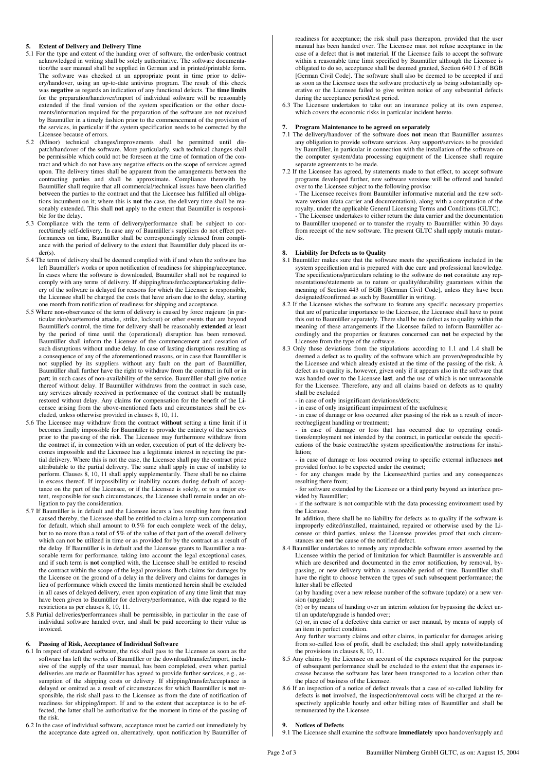### **5. Extent of Delivery and Delivery Time**

- 5.1 For the type and extent of the handing over of software, the order/basic contract acknowledged in writing shall be solely authoritative. The software documentation/the user manual shall be supplied in German and in printed/printable form. The software was checked at an appropriate point in time prior to delivery/handover, using an up-to-date antivirus program. The result of this check was **negative** as regards an indication of any functional defects. The **time limits** for the preparation/handover/import of individual software will be reasonably extended if the final version of the system specification or the other documents/information required for the preparation of the software are not received by Baumüller in a timely fashion prior to the commencement of the provision of the services, in particular if the system specification needs to be corrected by the Licensee because of errors.
- 5.2 (Minor) technical changes/improvements shall be permitted until dispatch/handover of the software. More particularly, such technical changes shall be permissible which could not be foreseen at the time of formation of the contract and which do not have any negative effects on the scope of services agreed upon. The delivery times shall be apparent from the arrangements between the contracting parties and shall be approximate. Compliance therewith by Baumüller shall require that all commercial/technical issues have been clarified between the parties to the contract and that the Licensee has fulfilled all obligations incumbent on it; where this is **not** the case, the delivery time shall be reasonably extended. This shall **not** apply to the extent that Baumüller is responsible for the delay.
- 5.3 Compliance with the term of delivery/performance shall be subject to correct/timely self-delivery. In case any of Baumüller's suppliers do not effect performances on time, Baumüller shall be correspondingly released from compliance with the period of delivery to the extent that Baumüller duly placed its order(s).
- 5.4 The term of delivery shall be deemed complied with if and when the software has left Baumüller's works or upon notification of readiness for shipping/acceptance. In cases where the software is downloaded, Baumüller shall not be required to comply with any terms of delivery. If shipping/transfer/acceptance/taking delivery of the software is delayed for reasons for which the Licensee is responsible, the Licensee shall be charged the costs that have arisen due to the delay, starting one month from notification of readiness for shipping and acceptance.
- 5.5 Where non-observance of the term of delivery is caused by force majeure (in particular riot/war/terrorist attacks, strike, lockout) or other events that are beyond Baumüller's control, the time for delivery shall be reasonably **extended** at least by the period of time until the (operational) disruption has been removed. Baumüller shall inform the Licensee of the commencement and cessation of such disruptions without undue delay. In case of lasting disruptions resulting as a consequence of any of the aforementioned reasons, or in case that Baumüller is not supplied by its suppliers without any fault on the part of Baumüller, Baumüller shall further have the right to withdraw from the contract in full or in part; in such cases of non-availability of the service, Baumüller shall give notice thereof without delay. If Baumüller withdraws from the contract in such case, any services already received in performance of the contract shall be mutually restored without delay. Any claims for compensation for the benefit of the Licensee arising from the above-mentioned facts and circumstances shall be excluded, unless otherwise provided in clauses 8, 10, 11.
- 5.6 The Licensee may withdraw from the contract **without** setting a time limit if it becomes finally impossible for Baumüller to provide the entirety of the services prior to the passing of the risk. The Licensee may furthermore withdraw from the contract if, in connection with an order, execution of part of the delivery becomes impossible and the Licensee has a legitimate interest in rejecting the partial delivery. Where this is not the case, the Licensee shall pay the contract price attributable to the partial delivery. The same shall apply in case of inability to perform. Clauses 8, 10, 11 shall apply supplementarily. There shall be no claims in excess thereof. If impossibility or inability occurs during default of acceptance on the part of the Licensee, or if the Licensee is solely, or to a major extent, responsible for such circumstances, the Licensee shall remain under an obligation to pay the consideration.
- 5.7 If Baumüller is in default and the Licensee incurs a loss resulting here from and caused thereby, the Licensee shall be entitled to claim a lump sum compensation for default, which shall amount to 0.5% for each complete week of the delay, but to no more than a total of 5% of the value of that part of the overall delivery which can not be utilized in time or as provided for by the contract as a result of the delay. If Baumüller is in default and the Licensee grants to Baumüller a reasonable term for performance, taking into account the legal exceptional cases, and if such term is **not** complied with, the Licensee shall be entitled to rescind the contract within the scope of the legal provisions. Both claims for damages by the Licensee on the ground of a delay in the delivery and claims for damages in lieu of performance which exceed the limits mentioned herein shall be excluded in all cases of delayed delivery, even upon expiration of any time limit that may have been given to Baumüller for delivery/performance, with due regard to the restrictions as per clauses 8, 10, 11.
- 5.8 Partial deliveries/performances shall be permissible, in particular in the case of individual software handed over, and shall be paid according to their value as invoiced.

# **6. Passing of Risk, Acceptance of Individual Software**

- 6.1 In respect of standard software, the risk shall pass to the Licensee as soon as the software has left the works of Baumüller or the download/transfer/import, inclusive of the supply of the user manual, has been completed, even when partial deliveries are made or Baumüller has agreed to provide further services, e.g., assumption of the shipping costs or delivery. If shipping/transfer/acceptance is delayed or omitted as a result of circumstances for which Baumüller is **not** responsible, the risk shall pass to the Licensee as from the date of notification of readiness for shipping/import. If and to the extent that acceptance is to be effected, the latter shall be authoritative for the moment in time of the passing of the risk.
- 6.2 In the case of individual software, acceptance must be carried out immediately by the acceptance date agreed on, alternatively, upon notification by Baumüller of

readiness for acceptance; the risk shall pass thereupon, provided that the user manual has been handed over. The Licensee must not refuse acceptance in the case of a defect that is **not** material. If the Licensee fails to accept the software within a reasonable time limit specified by Baumüller although the Licensee is obligated to do so, acceptance shall be deemed granted, Section 640 I 3 of BGB [German Civil Code]. The software shall also be deemed to be accepted if and as soon as the Licensee uses the software productively as being substantially operative or the Licensee failed to give written notice of any substantial defects during the acceptance period/test period.

6.3 The Licensee undertakes to take out an insurance policy at its own expense, which covers the economic risks in particular incident hereto.

### **7. Program Maintenance to be agreed on separately**

- 7.1 The delivery/handover of the software does **not** mean that Baumüller assumes any obligation to provide software services. Any support/services to be provided by Baumüller, in particular in connection with the installation of the software on the computer system/data processing equipment of the Licensee shall require separate agreements to be made.
- 7.2 If the Licensee has agreed, by statements made to that effect, to accept software programs developed further, new software versions will be offered and handed over to the Licensee subject to the following proviso: - The Licensee receives from Baumüller informative material and the new software version (data carrier and documentation), along with a computation of the royalty, under the applicable General Licensing Terms and Conditions (GLTC). - The Licensee undertakes to either return the data carrier and the documentation to Baumüller unopened or to transfer the royalty to Baumüller within 30 days from receipt of the new software. The present GLTC shall apply mutatis mutandis.

### **8. Liability for Defects as to Quality**

- 8.1 Baumüller makes sure that the software meets the specifications included in the system specification and is prepared with due care and professional knowledge. The specifications/particulars relating to the software do **not** constitute any representations/statements as to nature or quality/durability guarantees within the meaning of Section 443 of BGB [German Civil Code], unless they have been designated/confirmed as such by Baumüller in writing.
- 8.2 If the Licensee wishes the software to feature any specific necessary properties that are of particular importance to the Licensee, the Licensee shall have to point this out to Baumüller separately. There shall be no defect as to quality within the meaning of these arrangements if the Licensee failed to inform Baumüller accordingly and the properties or features concerned can **not** be expected by the Licensee from the type of the software.
- 8.3 Only those deviations from the stipulations according to 1.1 and 1.4 shall be deemed a defect as to quality of the software which are proven/reproducible by the Licensee and which already existed at the time of the passing of the risk. A defect as to quality is, however, given only if it appears also in the software that was handed over to the Licensee **last**, and the use of which is not unreasonable for the Licensee. Therefore, any and all claims based on defects as to quality shall be excluded
	- in case of only insignificant deviations/defects;
	- in case of only insignificant impairment of the usefulness;

 - in case of damage or loss occurred after passing of the risk as a result of incorrect/negligent handling or treatment;

 - in case of damage or loss that has occurred due to operating conditions/employment not intended by the contract, in particular outside the specifications of the basic contract/the system specification/the instructions for installation;

 - in case of damage or loss occurred owing to specific external influences **not**  provided for/not to be expected under the contract;

- for any changes made by the Licensee/third parties and any consequences resulting there from;
- for software extended by the Licensee or a third party beyond an interface provided by Baumüller;
- if the software is not compatible with the data processing environment used by the Licensee.

 In addition, there shall be no liability for defects as to quality if the software is improperly edited/installed, maintained, repaired or otherwise used by the Licensee or third parties, unless the Licensee provides proof that such circumstances are **not** the cause of the notified defect.

8.4 Baumüller undertakes to remedy any reproducible software errors asserted by the Licensee within the period of limitation for which Baumüller is answerable and which are described and documented in the error notification, by removal, bypassing, or new delivery within a reasonable period of time. Baumüller shall have the right to choose between the types of such subsequent performance; the latter shall be effected

 (a) by handing over a new release number of the software (update) or a new version (upgrade);

 (b) or by means of handing over an interim solution for bypassing the defect until an update/upgrade is handed over;

 (c) or, in case of a defective data carrier or user manual, by means of supply of an item in perfect condition.

 Any further warranty claims and other claims, in particular for damages arising from so-called loss of profit, shall be excluded; this shall apply notwithstanding the provisions in clauses 8, 10, 11.

- 8.5 Any claims by the Licensee on account of the expenses required for the purpose of subsequent performance shall be excluded to the extent that the expenses increase because the software has later been transported to a location other than the place of business of the Licensee.
- 8.6 If an inspection of a notice of defect reveals that a case of so-called liability for defects is **not** involved, the inspection/removal costs will be charged at the respectively applicable hourly and other billing rates of Baumüller and shall be remunerated by the Licensee.

### **9. Notices of Defects**

9.1 The Licensee shall examine the software **immediately** upon handover/supply and